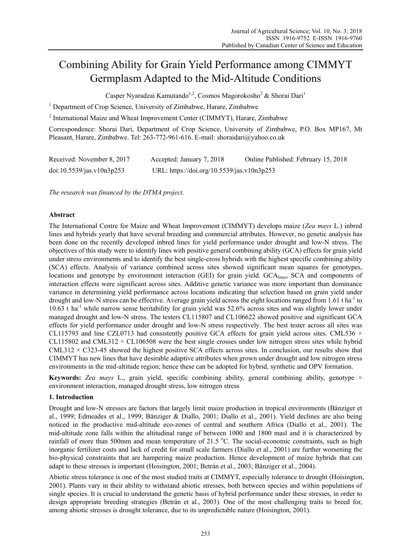# Combining Ability for Grain Yield Performance among CIMMYT Germplasm Adapted to the Mid-Altitude Conditions

Casper Nyaradzai Kamutando<sup>1,2</sup>, Cosmos Magorokosho<sup>2</sup> & Shorai Dari<sup>1</sup>

<sup>1</sup> Department of Crop Science, University of Zimbabwe, Harare, Zimbabwe

<sup>2</sup> International Maize and Wheat Improvement Center (CIMMYT), Harare, Zimbabwe

Correspondence: Shorai Dari, Department of Crop Science, University of Zimbabwe, P.O. Box MP167, Mt Pleasant, Harare, Zimbabwe. Tel: 263-772-961-616. E-mail: shoraidari@yahoo.co.uk

| Received: November 8, 2017 | Accepted: January 7, 2018                  | Online Published: February 15, 2018 |
|----------------------------|--------------------------------------------|-------------------------------------|
| doi:10.5539/jas.v10n3p253  | URL: https://doi.org/10.5539/jas.v10n3p253 |                                     |

*The research was financed by the DTMA project.*

# **Abstract**

The International Centre for Maize and Wheat Improvement (CIMMYT) develops maize (*Zea mays* L.) inbred lines and hybrids yearly that have several breeding and commercial attributes. However, no genetic analysis has been done on the recently developed inbred lines for yield performance under drought and low-N stress. The objectives of this study were to identify lines with positive general combining ability (GCA) effects for grain yield under stress environments and to identify the best single-cross hybrids with the highest specific combining ability (SCA) effects. Analysis of variance combined across sites showed significant mean squares for genotypes, locations and genotype by environment interaction (GEI) for grain yield. GCA<sub>lines</sub>, SCA and components of interaction effects were significant across sites. Additive genetic variance was more important than dominance variance in determining yield performance across locations indicating that selection based on grain yield under drought and low-N stress can be effective. Average grain yield across the eight locations ranged from  $1.61$  t ha<sup>-1</sup> to 10.63 t ha<sup>-1</sup> while narrow sense heritability for grain yield was  $52.6\%$  across sites and was slightly lower under managed drought and low-N stress. The testers CL115807 and CL106622 showed positive and significant GCA effects for yield performance under drought and low-N stress respectively. The best tester across all sites was CL115793 and line CZL0713 had consistently positive GCA effects for grain yield across sites. CML536  $\times$ CL115802 and CML312  $\times$  CL106508 were the best single crosses under low nitrogen stress sites while hybrid  $CML312 \times C323-45$  showed the highest positive SCA effects across sites. In conclusion, our results show that CIMMYT has new lines that have desirable adaptive attributes when grown under drought and low nitrogen stress environments in the mid-altitude region; hence these can be adopted for hybrid, synthetic and OPV formation.

**Keywords:** *Zea mays* L., grain yield, specific combining ability, general combining ability, genotype × environment interaction, managed drought stress, low nitrogen stress

#### **1. Introduction**

Drought and low-N stresses are factors that largely limit maize production in tropical environments (Bӓnziger et al., 1999; Edmeades et al., 1999; Bӓnziger & Diallo, 2001; Diallo et al., 2001). Yield declines are also being noticed in the productive mid-altitude eco-zones of central and southern Africa (Diallo et al., 2001). The mid-altitude zone falls within the altitudinal range of between 1000 and 1800 masl and it is characterized by rainfall of more than 500mm and mean temperature of 21.5 °C. The social-economic constraints, such as high inorganic fertilizer costs and lack of credit for small scale farmers (Diallo et al., 2001) are further worsening the bio-physical constraints that are hampering maize production. Hence development of maize hybrids that can adapt to these stresses is important (Hoisington, 2001; Betrán et al., 2003; Bӓnziger et al., 2004).

Abiotic stress tolerance is one of the most studied traits at CIMMYT, especially tolerance to drought (Hoisington, 2001). Plants vary in their ability to withstand abiotic stresses, both between species and within populations of single species. It is crucial to understand the genetic basis of hybrid performance under these stresses, in order to design appropriate breeding strategies (Betrán et al., 2003). One of the most challenging traits to breed for, among abiotic stresses is drought tolerance, due to its unpredictable nature (Hoisington, 2001).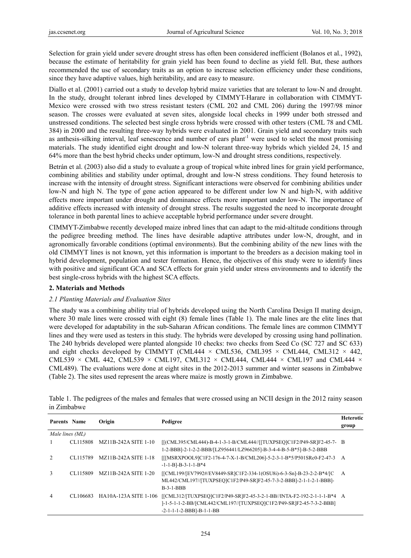Selection for grain yield under severe drought stress has often been considered inefficient (Bolanos et al., 1992), because the estimate of heritability for grain yield has been found to decline as yield fell. But, these authors recommended the use of secondary traits as an option to increase selection efficiency under these conditions, since they have adaptive values, high heritability, and are easy to measure.

Diallo et al. (2001) carried out a study to develop hybrid maize varieties that are tolerant to low-N and drought. In the study, drought tolerant inbred lines developed by CIMMYT-Harare in collaboration with CIMMYT-Mexico were crossed with two stress resistant testers (CML 202 and CML 206) during the 1997/98 minor season. The crosses were evaluated at seven sites, alongside local checks in 1999 under both stressed and unstressed conditions. The selected best single cross hybrids were crossed with other testers (CML 78 and CML 384) in 2000 and the resulting three-way hybrids were evaluated in 2001. Grain yield and secondary traits such as anthesis-silking interval, leaf senescence and number of ears plant<sup>-1</sup> were used to select the most promising materials. The study identified eight drought and low-N tolerant three-way hybrids which yielded 24, 15 and 64% more than the best hybrid checks under optimum, low-N and drought stress conditions, respectively.

Betrán et al. (2003) also did a study to evaluate a group of tropical white inbred lines for grain yield performance, combining abilities and stability under optimal, drought and low-N stress conditions. They found heterosis to increase with the intensity of drought stress. Significant interactions were observed for combining abilities under low-N and high N. The type of gene action appeared to be different under low N and high-N, with additive effects more important under drought and dominance effects more important under low-N. The importance of additive effects increased with intensity of drought stress. The results suggested the need to incorporate drought tolerance in both parental lines to achieve acceptable hybrid performance under severe drought.

CIMMYT-Zimbabwe recently developed maize inbred lines that can adapt to the mid-altitude conditions through the pedigree breeding method. The lines have desirable adaptive attributes under low-N, drought, and in agronomically favorable conditions (optimal environments). But the combining ability of the new lines with the old CIMMYT lines is not known, yet this information is important to the breeders as a decision making tool in hybrid development, population and tester formation. Hence, the objectives of this study were to identify lines with positive and significant GCA and SCA effects for grain yield under stress environments and to identify the best single-cross hybrids with the highest SCA effects.

# **2. Materials and Methods**

#### *2.1 Planting Materials and Evaluation Sites*

The study was a combining ability trial of hybrids developed using the North Carolina Design II mating design, where 30 male lines were crossed with eight (8) female lines (Table 1). The male lines are the elite lines that were developed for adaptability in the sub-Saharan African conditions. The female lines are common CIMMYT lines and they were used as testers in this study. The hybrids were developed by crossing using hand pollination. The 240 hybrids developed were planted alongside 10 checks: two checks from Seed Co (SC 727 and SC 633) and eight checks developed by CIMMYT (CML444  $\times$  CML536, CML395  $\times$  CML444, CML312  $\times$  442, CML539  $\times$  CML 442, CML539  $\times$  CML197, CML312  $\times$  CML444, CML444  $\times$  CML197 and CML444  $\times$ CML489). The evaluations were done at eight sites in the 2012-2013 summer and winter seasons in Zimbabwe (Table 2). The sites used represent the areas where maize is mostly grown in Zimbabwe.

| <b>Parents</b> Name |          | Origin                | Pedigree                                                                                                                                                                          | <b>Heterotic</b><br>group |
|---------------------|----------|-----------------------|-----------------------------------------------------------------------------------------------------------------------------------------------------------------------------------|---------------------------|
| Male lines (ML)     |          |                       |                                                                                                                                                                                   |                           |
|                     | CL115808 | MZ11B-242A SITE 1-10  | [[(CML395/CML444)-B-4-1-3-1-B/CML444//[[TUXPSEQ]C1F2/P49-SR]F2-45-7- B<br>1-2-BBB]-2-1-2-2-BBB/[LZ956441/LZ966205]-B-3-4-4-B-5-B*5]-B-5-2-BBB                                     |                           |
| $\mathfrak{D}$      | CL115789 | MZ11B-242A SITE 1-18  | [[[MSRXPOOL9]C1F2-176-4-7-X-1-B/CML206]-5-2-3-1-B*5/P501SRc0-F2-47-3<br>$-1-1-B$ ]-B-3-1-1-B*4                                                                                    | A                         |
| 3                   | CL115809 | MZ11B-242A SITE 1-20  | [[CML199/[EV7992#/EV8449-SR]C1F2-334-1(OSU8i)-6-3-Sn]-B-23-2-2-B*4/[C]<br>ML442/CML197//[TUXPSEO]C1F2/P49-SR]F2-45-7-3-2-BBB]-2-1-1-2-1-BBB]-<br>$B-3-1-BBB$                      | A                         |
| 4                   | CL106683 | HA10A-123A SITE 1-106 | [[CML312/[TUXPSEO]C1F2/P49-SR]F2-45-3-2-1-BB//INTA-F2-192-2-1-1-1-B*4 A<br>]-1-5-1-1-2-BB/[CML442/CML197//[TUXPSEO]C1F2/P49-SR]F2-45-7-3-2-BBB]<br>$-2-1-1-1-2-BBB$ ] $-B-1-1-BB$ |                           |

Table 1. The pedigrees of the males and females that were crossed using an NCII design in the 2012 rainy season in Zimbabwe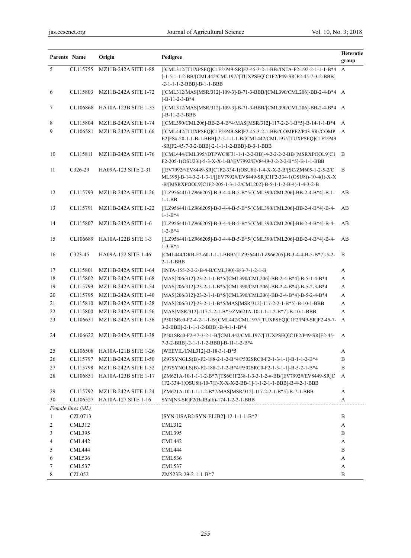|              | Parents Name      | Origin                        | Pedigree                                                                                                                                                                                                            | Heterotic<br>group |
|--------------|-------------------|-------------------------------|---------------------------------------------------------------------------------------------------------------------------------------------------------------------------------------------------------------------|--------------------|
| 5            | CL115755          | MZ11B-242A SITE 1-88          | [[CML312/[TUXPSEQ]C1F2/P49-SR]F2-45-3-2-1-BB//INTA-F2-192-2-1-1-1-B*4<br>]-1-5-1-1-2-BB/[CML442/CML197//[TUXPSEQ]C1F2/P49-SR]F2-45-7-3-2-BBB]<br>$-2-1-1-1-2-BBB$ ]-B-1-1-BBB                                       | A                  |
| 6            | CL115803          | MZ11B-242A SITE 1-72          | [[CML312/MAS[MSR/312]-109-3]-B-71-3-BBB/[CML390/CML206]-BB-2-4-B*4 A<br>$]-B-11-2-3-B*4$                                                                                                                            |                    |
| 7            | CL106868          | HA10A-123B SITE 1-35          | [[CML312/MAS[MSR/312]-109-3]-B-71-3-BBB/[CML390/CML206]-BB-2-4-B*4 A<br>$]-B-11-2-3-BBB$                                                                                                                            |                    |
| 8            | CL115804          | MZ11B-242A SITE 1-74          | [[CML390/CML206]-BB-2-4-B*4/MAS[MSR/312]-117-2-2-1-B*5]-B-14-1-1-B*4                                                                                                                                                | A                  |
| 9            | CL106581          | MZ11B-242A SITE 1-66          | [[CML442/[TUXPSEQ]C1F2/P49-SR]F2-45-3-2-1-BB//COMPE2/P43-SR//COMP<br>E2]FS#-20-1-1-B-1-BBB]-2-5-1-1-1-B/[CML442/CML197//[TUXPSEQ]C1F2/P49<br>-SR]F2-45-7-3-2-BBB]-2-1-1-1-2-BBB]-B-3-1-BBB                          | A                  |
| 10           | CL115811          | MZ11B-242A SITE 1-76          | [[CML444/CML395//DTPWC8F31-1-1-2-2-BB]-4-2-2-2-2-BB/[MSRXPOOL9]C1<br>F2-205-1(OSU23i)-5-3-X-X-1-B//EV7992/EV8449-3-2-2-2-B*5]-B-1-1-BBB                                                                             | B                  |
| 11           | C326-29           | HA09A-123 SITE 2-31           | [[EV7992#/EV8449-SR]C1F2-334-1(OSU8i)-1-4-X-X-2-B/[SC/ZM605-1-2-5-2/C<br>ML395]-B-14-3-2-1-3-1/[[EV7992#/EV8449-SR]C1F2-334-1(OSU8i)-10-4(I)-X-X<br>-B/[MSRXPOOL9]C1F2-205-1-3-1-2/CML202]-B-5-1-1-2-B-4)-1-4-3-2-B | B                  |
| 12           | CL115793          | MZ11B-242A SITE 1-26          | [[LZ956441/LZ966205]-B-3-4-4-B-5-B*5/[CML390/CML206]-BB-2-4-B*4]-B-1-<br>$1-1-BB$                                                                                                                                   | AB                 |
| 13           | CL115791          | MZ11B-242A SITE 1-22          | [[LZ956441/LZ966205]-B-3-4-4-B-5-B*5/[CML390/CML206]-BB-2-4-B*4]-B-4-<br>$1 - 1 - B*4$                                                                                                                              | AB                 |
| 14           | CL115807          | MZ11B-242A SITE 1-6           | [[LZ956441/LZ966205]-B-3-4-4-B-5-B*5/[CML390/CML206]-BB-2-4-B*4]-B-4-<br>$1 - 2 - B*4$                                                                                                                              | AB                 |
| 15           | CL106689          | HA10A-122B SITE 1-3           | [[LZ956441/LZ966205]-B-3-4-4-B-5-B*5/[CML390/CML206]-BB-2-4-B*4]-B-4-<br>$1 - 3 - B*4$                                                                                                                              | AB                 |
| 16           | C323-45           | HA09A-122 SITE 1-46           | [CML444/DRB-F2-60-1-1-1-BBB//[LZ956441/LZ966205]-B-3-4-4-B-5-B*7]-5-2-<br>$2-1-1-BBB$                                                                                                                               | B                  |
| 17           | CL115801          | MZ11B-242A SITE 1-64          | [INTA-155-2-2-2-B-4-B/CML390]-B-3-7-1-2-1-B                                                                                                                                                                         | A                  |
| 18           | CL115802          | MZ11B-242A SITE 1-68          | [MAS[206/312]-23-2-1-1-B*5/[CML390/CML206]-BB-2-4-B*4]-B-5-1-4-B*4                                                                                                                                                  | А                  |
| 19           | CL115799          | MZ11B-242A SITE 1-54          | [MAS[206/312]-23-2-1-1-B*5/[CML390/CML206]-BB-2-4-B*4]-B-5-2-3-B*4                                                                                                                                                  | A                  |
| 20           | CL115795          | MZ11B-242A SITE 1-40          | [MAS[206/312]-23-2-1-1-B*5/[CML390/CML206]-BB-2-4-B*4]-B-5-2-4-B*4                                                                                                                                                  | A                  |
| 21           | CL115810          | MZ11B-242A SITE 1-28          | [MAS[206/312]-23-2-1-1-B*5/MAS[MSR/312]-117-2-2-1-B*5]-B-10-1-BBB                                                                                                                                                   | A                  |
| 22           | CL115800          | MZ11B-242A SITE 1-56          | [MAS[MSR/312]-117-2-2-1-B*5/ZM621A-10-1-1-1-2-B*7]-B-10-1-BBB                                                                                                                                                       | A                  |
| 23           | CL106631          | MZ11B-242A SITE 1-36          | [P501SRc0-F2-4-2-1-1-B/[CML442/CML197//[TUXPSEQ]C1F2/P49-SR]F2-45-7-<br>3-2-BBB]-2-1-1-1-2-BBB]-B-4-1-1-B*4                                                                                                         | A                  |
| 24           |                   | CL106622 MZ11B-242A SITE 1-38 | [P501SRc0-F2-47-3-2-1-B/[CML442/CML197//[TUXPSEQ]C1F2/P49-SR]F2-45-<br>7-3-2-BBB]-2-1-1-1-2-BBB]-B-11-1-2-B*4                                                                                                       | A                  |
| 25           |                   | CL106508 HA10A-121B SITE 1-26 | [WEEVIL/CML312]-B-18-3-1-B*5                                                                                                                                                                                        | A                  |
| 26           |                   | CL115797 MZ11B-242A SITE 1-50 | [Z97SYNGLS(B)-F2-188-2-1-2-B*4/P502SRC0-F2-1-3-1-1]-B-1-1-2-B*4                                                                                                                                                     | В                  |
| 27           | CL115798          | MZ11B-242A SITE 1-52          | [Z97SYNGLS(B)-F2-188-2-1-2-B*4/P502SRC0-F2-1-3-1-1]-B-5-2-1-B*4                                                                                                                                                     | B                  |
| 28           | CL106851          | HA10A-123B SITE 1-17          | [ZM621A-10-1-1-1-2-B*7/[TS6C1F238-1-3-3-1-2-#-BB/[EV7992#/EV8449-SR]C<br>1F2-334-1(OSU8i)-10-7(I)-X-X-X-2-BB-1]-1-1-2-1-1-BBB]-B-4-2-1-BBB                                                                          | A                  |
| 29           | CL115792          | MZ11B-242A SITE 1-24          | [ZM621A-10-1-1-1-2-B*7/MAS[MSR/312]-117-2-2-1-B*5]-B-7-1-BBB                                                                                                                                                        | A                  |
| 30           | CL106527          | HA10A-127 SITE 1-16           | SYN[N3-SR]F2(BalBulk)-174-1-2-2-1-BBB                                                                                                                                                                               | A                  |
|              | Female lines (ML) |                               |                                                                                                                                                                                                                     |                    |
| $\mathbf{1}$ | <b>CZL0713</b>    |                               | [SYN-USAB2/SYN-ELIB2]-12-1-1-1-B*7                                                                                                                                                                                  | B                  |
| 2            | CML312            |                               | <b>CML312</b>                                                                                                                                                                                                       | A                  |
| 3            | <b>CML395</b>     |                               | <b>CML395</b>                                                                                                                                                                                                       | B                  |
| 4            | <b>CML442</b>     |                               | <b>CML442</b>                                                                                                                                                                                                       | A                  |
| 5            | CML444            |                               | CML444                                                                                                                                                                                                              | B                  |
| 6            | <b>CML536</b>     |                               | <b>CML536</b>                                                                                                                                                                                                       | A                  |
| 7            | <b>CML537</b>     |                               | <b>CML537</b>                                                                                                                                                                                                       | A                  |
| 8            | <b>CZL052</b>     |                               | ZM523B-29-2-1-1-B*7                                                                                                                                                                                                 | B                  |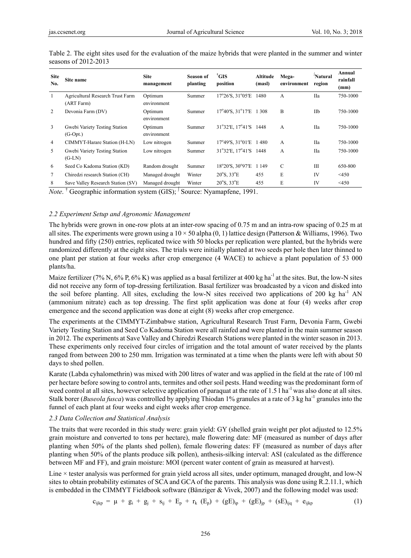| <b>Site</b><br>No. | Site name                                      | <b>Site</b><br>management | Season of<br>planting | 'GIS<br>position                                     | Altitude<br>(masl) | Mega-<br>environment | Natural<br>region | Annual<br>rainfall<br>(mm) |
|--------------------|------------------------------------------------|---------------------------|-----------------------|------------------------------------------------------|--------------------|----------------------|-------------------|----------------------------|
| $\mathbf{1}$       | Agricultural Research Trust Farm<br>(ART Farm) | Optimum<br>environment    | Summer                | $17^{\circ}26^{\prime}S$ , $31^{\circ}05^{\prime}E$  | 1480               | A                    | <b>IIa</b>        | 750-1000                   |
| 2                  | Devonia Farm (DV)                              | Optimum<br>environment    | Summer                | 17°40'S, 31°17'E 1 308                               |                    | B                    | <b>IIb</b>        | 750-1000                   |
| 3                  | Gwebi Variety Testing Station<br>$(G-Opt.)$    | Optimum<br>environment    | Summer                | 31°32'E, 17°41'S 1448                                |                    | A                    | <b>IIa</b>        | 750-1000                   |
| $\overline{4}$     | CIMMYT-Harare Station (H-LN)                   | Low nitrogen              | Summer                | 17°49'S, 31°01'E 1480                                |                    | $\mathsf{A}$         | <b>IIa</b>        | 750-1000                   |
| 5                  | Gwebi Variety Testing Station<br>$(G-LN)$      | Low nitrogen              | Summer                | 31°32'E, 17°41'S 1448                                |                    | A                    | <b>IIa</b>        | 750-1000                   |
| 6                  | Seed Co Kadoma Station (KD)                    | Random drought            | Summer                | $18^{\circ}20^{\prime}$ S, $30^{\circ}97^{\prime}$ E | 1 1 4 9            | C                    | Ш                 | 650-800                    |
| $7\overline{ }$    | Chiredzi research Station (CH)                 | Managed drought           | Winter                | $20^{\circ}$ S, $33^{\circ}$ E                       | 455                | E                    | IV                | $<$ 450                    |
| 8                  | Save Valley Research Station (SV)              | Managed drought           | Winter                | $20^{\circ}$ S, $33^{\circ}$ E                       | 455                | E                    | IV                | $<$ 450                    |

Table 2. The eight sites used for the evaluation of the maize hybrids that were planted in the summer and winter seasons of 2012-2013

*Note*. <sup>†</sup> Geographic information system (GIS); <sup>∫</sup> Source: Nyamapfene, 1991.

## *2.2 Experiment Setup and Agronomic Management*

The hybrids were grown in one-row plots at an inter-row spacing of 0.75 m and an intra-row spacing of 0.25 m at all sites. The experiments were grown using a  $10 \times 50$  alpha  $(0, 1)$  lattice design (Patterson & Williams, 1996). Two hundred and fifty (250) entries, replicated twice with 50 blocks per replication were planted, but the hybrids were randomized differently at the eight sites. The trials were initially planted at two seeds per hole then later thinned to one plant per station at four weeks after crop emergence (4 WACE) to achieve a plant population of 53 000 plants/ha.

Maize fertilizer (7% N, 6% P, 6% K) was applied as a basal fertilizer at 400 kg ha<sup>-1</sup> at the sites. But, the low-N sites did not receive any form of top-dressing fertilization. Basal fertilizer was broadcasted by a vicon and disked into the soil before planting. All sites, excluding the low-N sites received two applications of 200 kg ha<sup>-1</sup> AN (ammonium nitrate) each as top dressing. The first split application was done at four (4) weeks after crop emergence and the second application was done at eight (8) weeks after crop emergence.

The experiments at the CIMMYT-Zimbabwe station, Agricultural Research Trust Farm, Devonia Farm, Gwebi Variety Testing Station and Seed Co Kadoma Station were all rainfed and were planted in the main summer season in 2012. The experiments at Save Valley and Chiredzi Research Stations were planted in the winter season in 2013. These experiments only received four circles of irrigation and the total amount of water received by the plants ranged from between 200 to 250 mm. Irrigation was terminated at a time when the plants were left with about 50 days to shed pollen.

Karate (Labda cyhalomethrin) was mixed with 200 litres of water and was applied in the field at the rate of 100 ml per hectare before sowing to control ants, termites and other soil pests. Hand weeding was the predominant form of weed control at all sites, however selective application of paraquat at the rate of 1.5 l ha<sup>-1</sup> was also done at all sites. Stalk borer (*Buseola fusca*) was controlled by applying Thiodan 1% granules at a rate of 3 kg ha<sup>-1</sup> granules into the funnel of each plant at four weeks and eight weeks after crop emergence.

#### *2.3 Data Collection and Statistical Analysis*

The traits that were recorded in this study were: grain yield: GY (shelled grain weight per plot adjusted to 12.5% grain moisture and converted to tons per hectare), male flowering date: MF (measured as number of days after planting when 50% of the plants shed pollen), female flowering dates: FF (measured as number of days after planting when 50% of the plants produce silk pollen), anthesis-silking interval: ASI (calculated as the difference between MF and FF), and grain moisture: MOI (percent water content of grain as measured at harvest).

Line × tester analysis was performed for grain yield across all sites, under optimum, managed drought, and low-N sites to obtain probability estimates of SCA and GCA of the parents. This analysis was done using R.2.11.1, which is embedded in the CIMMYT Fieldbook software (Bӓnziger & Vivek, 2007) and the following model was used:

$$
c_{ijkp} = \mu + g_i + g_j + s_{ij} + E_p + r_k (E_p) + (gE)_{ip} + (gE)_{jp} + (sE)_{ijq} + e_{ijkp} \tag{1}
$$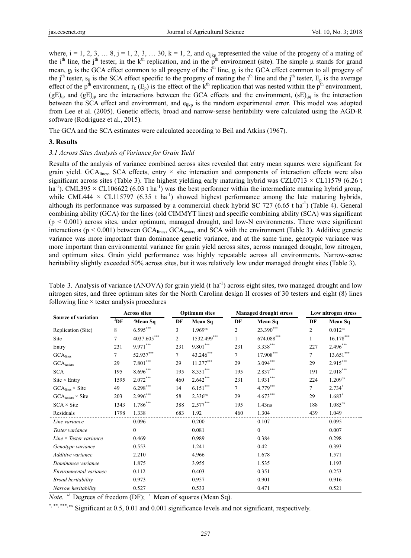where,  $i = 1, 2, 3, \ldots 8$ ,  $j = 1, 2, 3, \ldots 30$ ,  $k = 1, 2$ , and  $c_{ijkp}$  represented the value of the progeny of a mating of the i<sup>th</sup> line, the j<sup>th</sup> tester, in the k<sup>th</sup> replication, and in the  $p<sup>th</sup>$  environment (site). The simple  $\mu$  stands for grand mean,  $g_i$  is the GCA effect common to all progeny of the i<sup>th</sup> line,  $g_j$  is the GCA effect common to all progeny of the j<sup>th</sup> tester, s<sub>ij</sub> is the SCA effect specific to the progeny of mating the i<sup>th</sup> line and the j<sup>th</sup> tester,  $E_p$  is the average effect of the p<sup>th</sup> environment,  $r_k$  (E<sub>p</sub>) is the effect of the k<sup>th</sup> replication that was nested within the p<sup>th</sup> environment,  $(gE)_{ip}$  and  $(gE)_{ip}$  are the interactions between the GCA effects and the environment,  $(sE)_{iiq}$  is the interaction between the SCA effect and environment, and  $e_{iikp}$  is the random experimental error. This model was adopted from Lee et al. (2005). Genetic effects, broad and narrow-sense heritability were calculated using the AGD-R software (Rodríguez et al., 2015).

The GCA and the SCA estimates were calculated according to Beil and Atkins (1967).

## **3. Results**

#### *3.1 Across Sites Analysis of Variance for Grain Yield*

Results of the analysis of variance combined across sites revealed that entry mean squares were significant for grain yield. GCA<sub>lines</sub>, SCA effects, entry  $\times$  site interaction and components of interaction effects were also significant across sites (Table 3). The highest yielding early maturing hybrid was CZL0713  $\times$  CL11579 (6.26 t ha<sup>-1</sup>). CML395 × CL106622 (6.03 t ha<sup>-1</sup>) was the best performer within the intermediate maturing hybrid group, while CML444  $\times$  CL115797 (6.35 t ha<sup>-1</sup>) showed highest performance among the late maturing hybrids, although its performance was surpassed by a commercial check hybrid SC 727 (6.65 t ha<sup>-1</sup>) (Table 4). General combining ability (GCA) for the lines (old CIMMYT lines) and specific combining ability (SCA) was significant  $(p < 0.001)$  across sites, under optimum, managed drought, and low-N environments. There were significant interactions ( $p < 0.001$ ) between GCA<sub>lines</sub>, GCA<sub>testers</sub> and SCA with the environment (Table 3). Additive genetic variance was more important than dominance genetic variance, and at the same time, genotypic variance was more important than environmental variance for grain yield across sites, across managed drought, low nitrogen, and optimum sites. Grain yield performance was highly repeatable across all environments. Narrow-sense heritability slightly exceeded 50% across sites, but it was relatively low under managed drought sites (Table 3).

|                                   |               | <b>Across sites</b> |     | <b>Optimum sites</b>   |     | <b>Managed drought stress</b> | Low nitrogen stress |                         |  |
|-----------------------------------|---------------|---------------------|-----|------------------------|-----|-------------------------------|---------------------|-------------------------|--|
| <b>Source of variation</b>        | $^{\circ}$ DF | 'Mean Sq            | DF  | <b>Mean Sq</b>         | DF  | <b>Mean Sq</b>                | DF                  | <b>Mean Sq</b>          |  |
| Replication (Site)                | 8             | $6.595***$          | 3   | $1.969^{ns}$           | 2   | $23.390***$                   | $\overline{2}$      | $0.012^{ns}$            |  |
| Site                              | $\tau$        | $4037.605***$       | 2   | 1532.499***            | 1   | $674.088***$                  | 1                   | $16.178^{\ast\ast\ast}$ |  |
| Entry                             | 231           | $9.971***$          | 231 | $9.801^{\ast\ast\ast}$ | 231 | $3.338^{***}$                 | 227                 | $2.496***$              |  |
| GCA <sub>lines</sub>              | 7             | 52.937***           | 7   | 43.246***              | 7   | 17.908***                     | 7                   | $13.651***$             |  |
| GCA <sub>tests</sub>              | 29            | $7.801***$          | 29  | $11.277***$            | 29  | $3.094***$                    | 29                  | $2.915^{***}$           |  |
| <b>SCA</b>                        | 195           | 8.696***            | 195 | $8.351^{\ast\ast\ast}$ | 195 | $2.837***$                    | 191                 | $2.018***$              |  |
| $\text{Site} \times \text{Entry}$ | 1595          | $2.072***$          | 460 | $2.642***$             | 231 | $1.931^{\ast\ast\ast}$        | 224                 | $1.209^{ns}$            |  |
| $GCAlines \times Site$            | 49            | $6.298***$          | 14  | $6.151***$             | 7   | $4.779***$                    | 7                   | $2.734*$                |  |
| $GCAtests \times Site$            | 203           | $2.996***$          | 58  | 2.336 <sup>ns</sup>    | 29  | $4.673***$                    | 29                  | $1.683*$                |  |
| $SCA \times Site$                 | 1343          | $1.786***$          | 388 | $2.577***$             | 195 | 1.43ns                        | 188                 | $1.085^{ns}$            |  |
| Residuals                         | 1798          | 1.338               | 683 | 1.92                   | 460 | 1.304                         | 439                 | 1.049                   |  |
| Line variance                     |               | 0.096               |     | 0.200                  |     | 0.107                         |                     | 0.095                   |  |
| Tester variance                   |               | $\mathbf{0}$        |     | 0.081                  |     | $\boldsymbol{0}$              |                     | 0.007                   |  |
| Line $\times$ Tester variance     |               | 0.469               |     | 0.989                  |     | 0.384                         |                     | 0.298                   |  |
| Genotype variance                 |               | 0.553               |     | 1.241                  |     | 0.42                          |                     | 0.393                   |  |
| Additive variance                 |               | 2.210               |     | 4.966                  |     | 1.678                         |                     | 1.571                   |  |
| Dominance variance                |               | 1.875               |     | 3.955                  |     | 1.535                         |                     | 1.193                   |  |
| Environmental variance            |               | 0.112               |     | 0.403                  |     | 0.351                         |                     | 0.253                   |  |
| Broad heritability                |               | 0.973               |     | 0.957                  |     | 0.901                         |                     | 0.916                   |  |
| Narrow heritability               |               | 0.527               |     | 0.533                  |     | 0.471                         |                     | 0.521                   |  |

Table 3. Analysis of variance (ANOVA) for grain yield (t ha<sup>-1</sup>) across eight sites, two managed drought and low nitrogen sites, and three optimum sites for the North Carolina design II crosses of 30 testers and eight (8) lines following line  $\times$  tester analysis procedures

Note. <sup>J</sup> Degrees of freedom (DF); <sup>3</sup> Mean of squares (Mean Sq).

\*,\*\*\*\*\*,<sup>ns</sup> Significant at 0.5, 0.01 and 0.001 significance levels and not significant, respectively.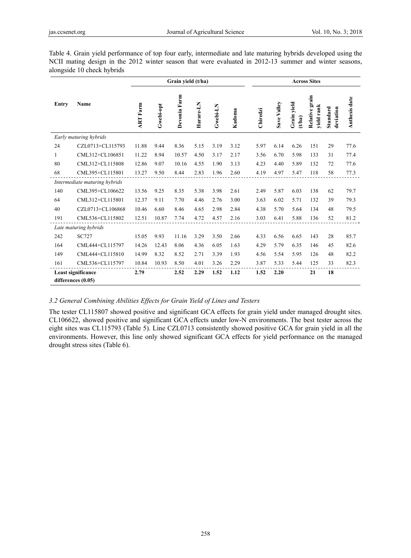Table 4. Grain yield performance of top four early, intermediate and late maturing hybrids developed using the NCII mating design in the 2012 winter season that were evaluated in 2012-13 summer and winter seasons, alongside 10 check hybrids

|       |                                          |                 |           | Grain yield (t/ha) |           |          |        |          | <b>Across Sites</b> |                      |                              |                       |               |
|-------|------------------------------------------|-----------------|-----------|--------------------|-----------|----------|--------|----------|---------------------|----------------------|------------------------------|-----------------------|---------------|
| Entry | Name                                     | <b>ART Farm</b> | Gwebi-opt | Devonia Farm       | Harare-LN | Gwebi-LN | Kadoma | Chiredzi | Save Valley         | Grain yield<br>(Hha) | Relative grain<br>yield rank | Standard<br>deviation | Anthesis date |
|       | Early maturing hybrids                   |                 |           |                    |           |          |        |          |                     |                      |                              |                       |               |
| 24    | CZL0713×CL115793                         | 11.88           | 9.44      | 8.36               | 5.15      | 3.19     | 3.12   | 5.97     | 6.14                | 6.26                 | 151                          | 29                    | 77.6          |
| 1     | CML312×CL106851                          | 11.22           | 8.94      | 10.57              | 4.50      | 3.17     | 2.17   | 3.56     | 6.70                | 5.98                 | 133                          | 31                    | 77.4          |
| 80    | CML312×CL115808                          | 12.86           | 9.07      | 10.16              | 4.55      | 1.90     | 3.13   | 4.23     | 4.40                | 5.89                 | 132                          | 72                    | 77.6          |
| 68    | CML395×CL115801                          | 13.27           | 9.50      | 8.44               | 2.83      | 1.96     | 2.60   | 4.19     | 4.97                | 5.47                 | 118                          | 58                    | 77.3          |
|       | Intermediate maturing hybrids            |                 |           |                    |           |          |        |          |                     |                      |                              |                       |               |
| 140   | CML395×CL106622                          | 13.56           | 9.25      | 8.35               | 5.38      | 3.98     | 2.61   | 2.49     | 5.87                | 6.03                 | 138                          | 62                    | 79.7          |
| 64    | CML312×CL115801                          | 12.37           | 9.11      | 7.70               | 4.46      | 2.76     | 3.00   | 3.63     | 6.02                | 5.71                 | 132                          | 39                    | 79.3          |
| 40    | CZL0713×CL106868                         | 10.46           | 6.60      | 8.46               | 4.65      | 2.98     | 2.84   | 4.38     | 5.70                | 5.64                 | 134                          | 48                    | 79.5          |
| 191   | CML536×CL115802                          | 12.51           | 10.87     | 7.74               | 4.72      | 4.57     | 2.16   | 3.03     | 6.41                | 5.88                 | 136                          | 52                    | 81.2          |
|       | Late maturing hybrids                    |                 |           |                    |           |          |        |          |                     |                      |                              |                       |               |
| 242   | <b>SC727</b>                             | 15.05           | 9.93      | 11.16              | 3.29      | 3.50     | 2.66   | 4.33     | 6.56                | 6.65                 | 143                          | 28                    | 85.7          |
| 164   | CML444×CL115797                          | 14.26           | 12.43     | 8.06               | 4.36      | 6.05     | 1.63   | 4.29     | 5.79                | 6.35                 | 146                          | 45                    | 82.6          |
| 149   | CML444×CL115810                          | 14.99           | 8.32      | 8.52               | 2.71      | 3.39     | 1.93   | 4.56     | 5.54                | 5.95                 | 126                          | 48                    | 82.2          |
| 161   | CML536×CL115797                          | 10.84           | 10.93     | 8.50               | 4.01      | 3.26     | 2.29   | 3.87     | 5.33                | 5.44                 | 125                          | 33                    | 82.3          |
|       | Least significance<br>differences (0.05) | 2.79            |           | 2.52               | 2.29      | 1.52     | 1.12   | 1.52     | 2.20                |                      | 21                           | 18                    |               |

## *3.2 General Combining Abilities Effects for Grain Yield of Lines and Testers*

The tester CL115807 showed positive and significant GCA effects for grain yield under managed drought sites. CL106622, showed positive and significant GCA effects under low-N environments. The best tester across the eight sites was CL115793 (Table 5). Line CZL0713 consistently showed positive GCA for grain yield in all the environments. However, this line only showed significant GCA effects for yield performance on the managed drought stress sites (Table 6).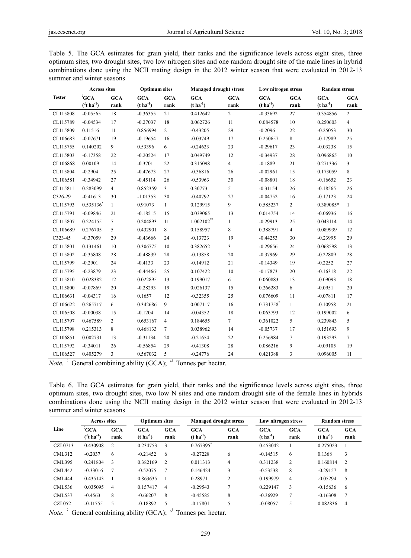| Table 5. The GCA estimates for grain yield, their ranks and the significance levels across eight sites, three    |
|------------------------------------------------------------------------------------------------------------------|
| optimum sites, two drought sites, two low nitrogen sites and one random drought site of the male lines in hybrid |
| combinations done using the NCII mating design in the 2012 winter season that were evaluated in 2012-13          |
| summer and winter seasons                                                                                        |

|               | <b>Across sites</b>                     |                | <b>Optimum</b> sites |                | <b>Managed drought stress</b> |                | Low nitrogen stress |                | <b>Random stress</b> |                |
|---------------|-----------------------------------------|----------------|----------------------|----------------|-------------------------------|----------------|---------------------|----------------|----------------------|----------------|
| <b>Tester</b> | ${}^{1}$ GCA                            | GCA            | <b>GCA</b>           | <b>GCA</b>     | GCA                           | GCA            | <b>GCA</b>          | <b>GCA</b>     | GCA                  | <b>GCA</b>     |
|               | $({}^{\circ}{\sf t}$ ha <sup>-1</sup> ) | rank           | $(t \, ha^{-1})$     | rank           | $(t \, ha^{-1})$              | rank           | $(t \, ha^{-1})$    | rank           | $(t \, ha^{-1})$     | rank           |
| CL115808      | $-0.05565$                              | $18\,$         | $-0.36355$           | 21             | 0.412642                      | $\overline{2}$ | $-0.33692$          | 27             | 0.354856             | $\sqrt{2}$     |
| CL115789      | $-0.04534$                              | 17             | $-0.27037$           | 18             | 0.062726                      | 11             | 0.084578            | 10             | 0.250603             | $\overline{4}$ |
| CL115809      | 0.11516                                 | 11             | 0.856994             | $\overline{2}$ | $-0.43205$                    | 29             | $-0.2096$           | 22             | $-0.25053$           | 30             |
| CL106683      | $-0.07671$                              | 19             | $-0.19654$           | 16             | $-0.03749$                    | 17             | 0.250657            | 8              | $-0.17989$           | 25             |
| CL115755      | 0.140202                                | 9              | 0.53396              | 6              | $-0.24623$                    | 23             | $-0.29617$          | 23             | $-0.03238$           | 15             |
| CL115803      | $-0.17358$                              | 22             | $-0.20524$           | 17             | 0.049749                      | 12             | $-0.34937$          | $2\sqrt{8}$    | 0.096865             | 10             |
| CL106868      | 0.00109                                 | 14             | $-0.3701$            | 22             | 0.315098                      | 4              | $-0.1889$           | 21             | 0.271336             | $\mathfrak{Z}$ |
| CL115804      | $-0.2904$                               | 25             | $-0.47673$           | 27             | $-0.36816$                    | 26             | $-0.02961$          | 15             | 0.173059             | 8              |
| CL106581      | $-0.34942$                              | 27             | $-0.45114$           | 26             | $-0.53963$                    | 30             | $-0.08801$          | 18             | $-0.16652$           | 23             |
| CL115811      | 0.283099                                | $\overline{4}$ | 0.852359             | 3              | 0.30773                       | 5              | $-0.31154$          | 26             | $-0.18565$           | 26             |
| C326-29       | $-0.41613$                              | 30             | $-1.01353$           | 30             | $-0.40792$                    | 27             | $-0.04752$          | 16             | $-0.17123$           | 24             |
| CL115793      | 0.535136                                | $\mathbf{1}$   | 0.91073              | $\mathbf{1}$   | 0.129915                      | 9              | 0.585237            | $\overline{2}$ | 0.389085*            | $\mathbf{1}$   |
| CL115791      | $-0.09846$                              | 21             | $-0.18515$           | 15             | 0.039065                      | 13             | 0.014754            | 14             | $-0.06936$           | 16             |
| CL115807      | 0.224155                                | $\overline{7}$ | 0.204893             | 11             | $1.002102^{**}$               | $\mathbf{1}$   | $-0.29913$          | 25             | 0.043114             | 14             |
| CL106689      | 0.276705                                | 5              | 0.432901             | 8              | 0.158957                      | 8              | 0.388791            | $\overline{4}$ | 0.089939             | 12             |
| C323-45       | $-0.37059$                              | 29             | $-0.43666$           | 24             | $-0.13723$                    | 19             | $-0.44253$          | 30             | $-0.23995$           | 29             |
| CL115801      | 0.131461                                | 10             | 0.306775             | 10             | 0.382652                      | 3              | $-0.29656$          | 24             | 0.068598             | 13             |
| CL115802      | $-0.35808$                              | 28             | $-0.48839$           | 28             | $-0.13858$                    | 20             | $-0.37969$          | 29             | $-0.22809$           | 28             |
| CL115799      | $-0.2901$                               | 24             | $-0.4133$            | 23             | $-0.14912$                    | 21             | $-0.14349$          | 19             | $-0.2252$            | 27             |
| CL115795      | $-0.23879$                              | 23             | $-0.44466$           | 25             | 0.107422                      | 10             | $-0.17873$          | $20\,$         | $-0.16318$           | 22             |
| CL115810      | 0.028382                                | 12             | 0.022895             | 13             | 0.199017                      | 6              | 0.060883            | 13             | $-0.09093$           | $18\,$         |
| CL115800      | $-0.07869$                              | 20             | $-0.28293$           | 19             | 0.026137                      | 15             | 0.266283            | 6              | $-0.0951$            | $20\,$         |
| CL106631      | $-0.04317$                              | 16             | 0.1657               | 12             | $-0.32355$                    | 25             | 0.076609            | 11             | $-0.07811$           | 17             |
| CL106622      | 0.265717                                | 6              | 0.342686             | 9              | 0.007117                      | 16             | 0.731758*           | $\mathbf{1}$   | $-0.10958$           | 21             |
| CL106508      | $-0.00038$                              | 15             | $-0.1204$            | 14             | $-0.04352$                    | $18\,$         | 0.063793            | 12             | 0.199002             | 6              |
| CL115797      | 0.467589                                | $\overline{2}$ | 0.653167             | $\overline{4}$ | 0.184655                      | 7              | 0.361022            | 5              | 0.239843             | 5              |
| CL115798      | 0.215313                                | 8              | 0.468133             | $\tau$         | 0.038962                      | 14             | $-0.05737$          | 17             | 0.151693             | 9              |
| CL106851      | 0.002731                                | 13             | $-0.31134$           | 20             | $-0.21654$                    | 22             | 0.256984            | $\tau$         | 0.193293             | $\tau$         |
| CL115792      | $-0.34011$                              | 26             | $-0.56854$           | 29             | $-0.41308$                    | 28             | 0.086216            | 9              | $-0.09105$           | 19             |
| CL106527      | 0.405279                                | $\overline{3}$ | 0.567032             | 5              | $-0.24776$                    | 24             | 0.421388            | 3              | 0.096005             | 11             |

*Note.* <sup>1</sup> General combining ability (GCA);  $\overline{C}$  Tonnes per hectar.

Table 6. The GCA estimates for grain yield, their ranks and the significance levels across eight sites, three optimum sites, two drought sites, two low N sites and one random drought site of the female lines in hybrids combinations done using the NCII mating design in the 2012 winter season that were evaluated in 2012-13 summer and winter seasons

|               | <b>Across sites</b>              |                    | <b>Optimum</b> sites                |                    |                                     | <b>Managed drought stress</b>   |                                     | Low nitrogen stress | <b>Random stress</b>                |                    |
|---------------|----------------------------------|--------------------|-------------------------------------|--------------------|-------------------------------------|---------------------------------|-------------------------------------|---------------------|-------------------------------------|--------------------|
| Line          | 'GCA<br>$($ t ha <sup>-1</sup> ) | <b>GCA</b><br>rank | <b>GCA</b><br>$(t \text{ ha}^{-1})$ | <b>GCA</b><br>rank | <b>GCA</b><br>$(t \text{ ha}^{-1})$ | <b>GCA</b><br>rank              | <b>GCA</b><br>$(t \text{ ha}^{-1})$ | <b>GCA</b><br>rank  | <b>GCA</b><br>$(t \text{ ha}^{-1})$ | <b>GCA</b><br>rank |
| CZL0713       | 0.430908                         | 2                  | 0.234753                            | 3                  | $0.767395$ <sup>*</sup>             |                                 | 0.453042                            |                     | 0.275023                            |                    |
| CML312        | $-0.2037$                        | 6                  | $-0.21452$                          | 6                  | $-0.27228$                          | 6                               | $-0.14515$                          | 6                   | 0.1368                              | 3                  |
| CML395        | 0.241804                         | 3                  | 0.382169                            | 2                  | 0.011313                            | 4                               | 0.311238                            | $\overline{2}$      | 0.160814                            | $\overline{2}$     |
| <b>CML442</b> | $-0.33016$                       |                    | $-0.52075$                          |                    | 0.146424                            | 3                               | $-0.53538$                          | 8                   | $-0.29157$                          | 8                  |
| <b>CML444</b> | 0.435143                         |                    | 0.863635                            |                    | 0.28971                             | <sup><math>\supset</math></sup> | 0.199979                            | $\overline{4}$      | $-0.05294$                          | 5                  |
| CML536        | 0.035095                         | $\overline{4}$     | 0.157417                            | 4                  | $-0.29543$                          | $\overline{ }$                  | 0.229147                            | 3                   | $-0.15636$                          | 6                  |
| CML537        | $-0.4563$                        | 8                  | $-0.66207$                          | 8                  | $-0.45585$                          | 8                               | $-0.36929$                          | $\overline{7}$      | $-0.16308$                          |                    |
| <b>CZL052</b> | $-0.11755$                       | 5                  | $-0.18892$                          | 5                  | $-0.17801$                          |                                 | $-0.08057$                          | 5                   | 0.082836                            | $\overline{4}$     |

*Note.* <sup>1</sup> General combining ability (GCA);  $\sigma$  Tonnes per hectar.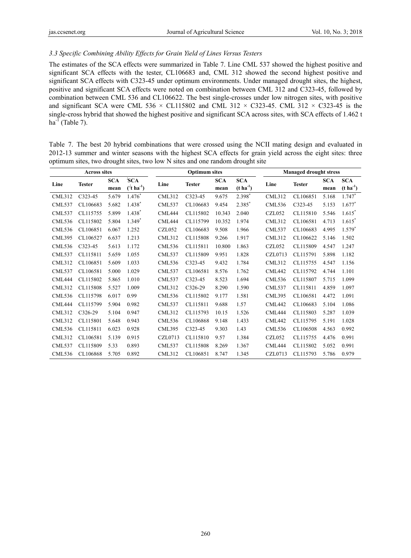# *3.3 Specific Combining Ability Effects for Grain Yield of Lines Versus Testers*

The estimates of the SCA effects were summarized in Table 7. Line CML 537 showed the highest positive and significant SCA effects with the tester, CL106683 and, CML 312 showed the second highest positive and significant SCA effects with C323-45 under optimum environments. Under managed drought sites, the highest, positive and significant SCA effects were noted on combination between CML 312 and C323-45, followed by combination between CML 536 and CL106622. The best single-crosses under low nitrogen sites, with positive and significant SCA were CML 536  $\times$  CL115802 and CML 312  $\times$  C323-45. CML 312  $\times$  C323-45 is the single-cross hybrid that showed the highest positive and significant SCA across sites, with SCA effects of 1.462 t  $ha^{-1}$  (Table 7).

Table 7. The best 20 hybrid combinations that were crossed using the NCII mating design and evaluated in 2012-13 summer and winter seasons with the highest SCA effects for grain yield across the eight sites: three optimum sites, two drought sites, two low N sites and one random drought site

|               | <b>Across sites</b> |                    |                                                  |                | <b>Optimum</b> sites |                    |                                     | <b>Managed drought stress</b> |               |                    |                                |  |
|---------------|---------------------|--------------------|--------------------------------------------------|----------------|----------------------|--------------------|-------------------------------------|-------------------------------|---------------|--------------------|--------------------------------|--|
| Line          | <b>Tester</b>       | <b>SCA</b><br>mean | <sup>1</sup> SCA<br>$(^{J}$ t ha <sup>-1</sup> ) | Line           | <b>Tester</b>        | <b>SCA</b><br>mean | <b>SCA</b><br>$(t \text{ ha}^{-1})$ | Line                          | <b>Tester</b> | <b>SCA</b><br>mean | <b>SCA</b><br>$(t \, ha^{-1})$ |  |
| <b>CML312</b> | C323-45             | 5.679              | $1.476*$                                         | CML312         | $C323-45$            | 9.675              | 2.398*                              | <b>CML312</b>                 | CL106851      | 5.168              | $1.747$ <sup>*</sup>           |  |
| <b>CML537</b> | CL106683            | 5.682              | 1.438                                            | <b>CML537</b>  | CL106683             | 9.454              | 2.385                               | <b>CML536</b>                 | C323-45       | 5.153              | $1.677$ <sup>*</sup>           |  |
| <b>CML537</b> | CL115755            | 5.899              | 1.438                                            | CML444         | CL115802             | 10.343             | 2.040                               | <b>CZL052</b>                 | CL115810      | 5.546              | $1.615$ <sup>*</sup>           |  |
| <b>CML536</b> | CL115802            | 5.804              | $1.349*$                                         | CML444         | CL115799             | 10.352             | 1.974                               | <b>CML312</b>                 | CL106581      | 4.713              | $1.615$ <sup>*</sup>           |  |
| <b>CML536</b> | CL106851            | 6.067              | 1.252                                            | <b>CZL052</b>  | CL106683             | 9.508              | 1.966                               | <b>CML537</b>                 | CL106683      | 4.995              | $1.579*$                       |  |
| <b>CML395</b> | CL106527            | 6.637              | 1.213                                            | <b>CML312</b>  | CL115808             | 9.266              | 1.917                               | <b>CML312</b>                 | CL106622      | 5.146              | 1.502                          |  |
| <b>CML536</b> | C323-45             | 5.613              | 1.172                                            | <b>CML536</b>  | CL115811             | 10.800             | 1.863                               | <b>CZL052</b>                 | CL115809      | 4.547              | 1.247                          |  |
| <b>CML537</b> | CL115811            | 5.659              | 1.055                                            | <b>CML537</b>  | CL115809             | 9.951              | 1.828                               | CZL0713                       | CL115791      | 5.898              | 1.182                          |  |
| <b>CML312</b> | CL106851            | 5.609              | 1.033                                            | <b>CML536</b>  | $C323-45$            | 9.432              | 1.784                               | <b>CML312</b>                 | CL115755      | 4.547              | 1.156                          |  |
| <b>CML537</b> | CL106581            | 5.000              | 1.029                                            | <b>CML537</b>  | CL106581             | 8.576              | 1.762                               | <b>CML442</b>                 | CL115792      | 4.744              | 1.101                          |  |
| CML444        | CL115802            | 5.865              | 1.010                                            | <b>CML537</b>  | $C323-45$            | 8.523              | 1.694                               | <b>CML536</b>                 | CL115807      | 5.715              | 1.099                          |  |
| <b>CML312</b> | CL115808            | 5.527              | 1.009                                            | <b>CML312</b>  | C326-29              | 8.290              | 1.590                               | <b>CML537</b>                 | CL115811      | 4.859              | 1.097                          |  |
| <b>CML536</b> | CL115798            | 6.017              | 0.99                                             | <b>CML536</b>  | CL115802             | 9.177              | 1.581                               | <b>CML395</b>                 | CL106581      | 4.472              | 1.091                          |  |
| CML444        | CL115799            | 5.904              | 0.982                                            | <b>CML537</b>  | CL115811             | 9.688              | 1.57                                | <b>CML442</b>                 | CL106683      | 5.104              | 1.086                          |  |
| <b>CML312</b> | C326-29             | 5.104              | 0.947                                            | <b>CML312</b>  | CL115793             | 10.15              | 1.526                               | CML444                        | CL115803      | 5.287              | 1.039                          |  |
| <b>CML312</b> | CL115801            | 5.648              | 0.943                                            | <b>CML536</b>  | CL106868             | 9.148              | 1.433                               | <b>CML442</b>                 | CL115795      | 5.191              | 1.028                          |  |
| <b>CML536</b> | CL115811            | 6.023              | 0.928                                            | <b>CML395</b>  | $C323-45$            | 9.303              | 1.43                                | <b>CML536</b>                 | CL106508      | 4.563              | 0.992                          |  |
| <b>CML312</b> | CL106581            | 5.139              | 0.915                                            | <b>CZL0713</b> | CL115810             | 9.57               | 1.384                               | <b>CZL052</b>                 | CL115755      | 4.476              | 0.991                          |  |
| <b>CML537</b> | CL115809            | 5.33               | 0.893                                            | <b>CML537</b>  | CL115808             | 8.269              | 1.367                               | CML444                        | CL115802      | 5.052              | 0.991                          |  |
| <b>CML536</b> | CL106868            | 5.705              | 0.892                                            | <b>CML312</b>  | CL106851             | 8.747              | 1.345                               | CZL0713                       | CL115793      | 5.786              | 0.979                          |  |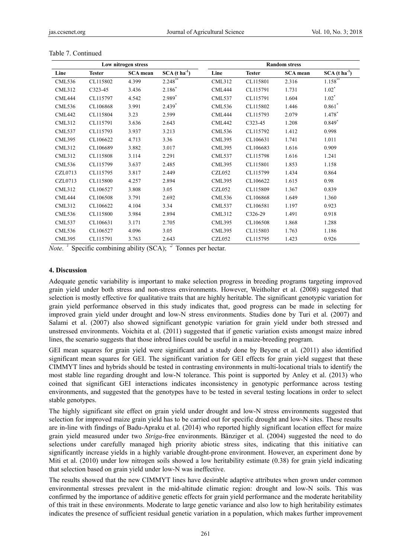|                |               | Low nitrogen stress |                             | <b>Random stress</b> |               |                 |                             |  |  |  |
|----------------|---------------|---------------------|-----------------------------|----------------------|---------------|-----------------|-----------------------------|--|--|--|
| Line           | <b>Tester</b> | <b>SCA</b> mean     | $SCA(t)$ ha <sup>-1</sup> ) | Line                 | <b>Tester</b> | <b>SCA</b> mean | $SCA(t)$ ha <sup>-1</sup> ) |  |  |  |
| <b>CML536</b>  | CL115802      | 4.399               | $2.248***$                  | <b>CML312</b>        | CL115801      | 2.316           | $1.158$ <sup>**</sup>       |  |  |  |
| <b>CML312</b>  | C323-45       | 3.436               | $2.186*$                    | CML444               | CL115791      | 1.731           | $1.02^*$                    |  |  |  |
| CML444         | CL115797      | 4.542               | 2.989*                      | <b>CML537</b>        | CL115791      | 1.604           | $1.02^*$                    |  |  |  |
| <b>CML536</b>  | CL106868      | 3.991               | $2.439*$                    | <b>CML536</b>        | CL115802      | 1.446           | $0.861*$                    |  |  |  |
| CML442         | CL115804      | 3.23                | 2.599                       | CML444               | CL115793      | 2.079           | 1.478*                      |  |  |  |
| <b>CML312</b>  | CL115791      | 3.636               | 2.643                       | CML442               | C323-45       | 1.208           | $0.849*$                    |  |  |  |
| <b>CML537</b>  | CL115793      | 3.937               | 3.213                       | <b>CML536</b>        | CL115792      | 1.412           | 0.998                       |  |  |  |
| <b>CML395</b>  | CL106622      | 4.713               | 3.36                        | <b>CML395</b>        | CL106631      | 1.741           | 1.011                       |  |  |  |
| <b>CML312</b>  | CL106689      | 3.882               | 3.017                       | <b>CML395</b>        | CL106683      | 1.616           | 0.909                       |  |  |  |
| <b>CML312</b>  | CL115808      | 3.114               | 2.291                       | <b>CML537</b>        | CL115798      | 1.616           | 1.241                       |  |  |  |
| <b>CML536</b>  | CL115799      | 3.637               | 2.485                       | <b>CML395</b>        | CL115801      | 1.853           | 1.158                       |  |  |  |
| <b>CZL0713</b> | CL115795      | 3.817               | 2.449                       | <b>CZL052</b>        | CL115799      | 1.434           | 0.864                       |  |  |  |
| <b>CZL0713</b> | CL115800      | 4.257               | 2.894                       | <b>CML395</b>        | CL106622      | 1.615           | 0.98                        |  |  |  |
| <b>CML312</b>  | CL106527      | 3.808               | 3.05                        | <b>CZL052</b>        | CL115809      | 1.367           | 0.839                       |  |  |  |
| CML444         | CL106508      | 3.791               | 2.692                       | <b>CML536</b>        | CL106868      | 1.649           | 1.360                       |  |  |  |
| <b>CML312</b>  | CL106622      | 4.104               | 3.34                        | <b>CML537</b>        | CL106581      | 1.197           | 0.923                       |  |  |  |
| <b>CML536</b>  | CL115800      | 3.984               | 2.894                       | <b>CML312</b>        | C326-29       | 1.491           | 0.918                       |  |  |  |
| <b>CML537</b>  | CL106631      | 3.171               | 2.705                       | <b>CML395</b>        | CL106508      | 1.868           | 1.288                       |  |  |  |
| <b>CML536</b>  | CL106527      | 4.096               | 3.05                        | <b>CML395</b>        | CL115803      | 1.763           | 1.186                       |  |  |  |
| <b>CML395</b>  | CL115791      | 3.763               | 2.643                       | <b>CZL052</b>        | CL115795      | 1.423           | 0.926                       |  |  |  |

Table 7. Continued

*Note.* <sup>1</sup> Specific combining ability (SCA);  $\overline{O}$  Tonnes per hectar.

## **4. Discussion**

Adequate genetic variability is important to make selection progress in breeding programs targeting improved grain yield under both stress and non-stress environments. However, Weitholter et al. (2008) suggested that selection is mostly effective for qualitative traits that are highly heritable. The significant genotypic variation for grain yield performance observed in this study indicates that, good progress can be made in selecting for improved grain yield under drought and low-N stress environments. Studies done by Turi et al. (2007) and Salami et al. (2007) also showed significant genotypic variation for grain yield under both stressed and unstressed environments. Voichita et al. (2011) suggested that if genetic variation exists amongst maize inbred lines, the scenario suggests that those inbred lines could be useful in a maize-breeding program.

GEI mean squares for grain yield were significant and a study done by Beyene et al. (2011) also identified significant mean squares for GEI. The significant variation for GEI effects for grain yield suggest that these CIMMYT lines and hybrids should be tested in contrasting environments in multi-locational trials to identify the most stable line regarding drought and low-N tolerance. This point is supported by Anley et al. (2013) who coined that significant GEI interactions indicates inconsistency in genotypic performance across testing environments, and suggested that the genotypes have to be tested in several testing locations in order to select stable genotypes.

The highly significant site effect on grain yield under drought and low-N stress environments suggested that selection for improved maize grain yield has to be carried out for specific drought and low-N sites. These results are in-line with findings of Badu-Apraku et al. (2014) who reported highly significant location effect for maize grain yield measured under two *Striga*-free environments. Bӓnziger et al. (2004) suggested the need to do selections under carefully managed high priority abiotic stress sites, indicating that this initiative can significantly increase yields in a highly variable drought-prone environment. However, an experiment done by Miti et al. (2010) under low nitrogen soils showed a low heritability estimate (0.38) for grain yield indicating that selection based on grain yield under low-N was ineffective.

The results showed that the new CIMMYT lines have desirable adaptive attributes when grown under common environmental stresses prevalent in the mid-altitude climatic region: drought and low-N soils. This was confirmed by the importance of additive genetic effects for grain yield performance and the moderate heritability of this trait in these environments. Moderate to large genetic variance and also low to high heritability estimates indicates the presence of sufficient residual genetic variation in a population, which makes further improvement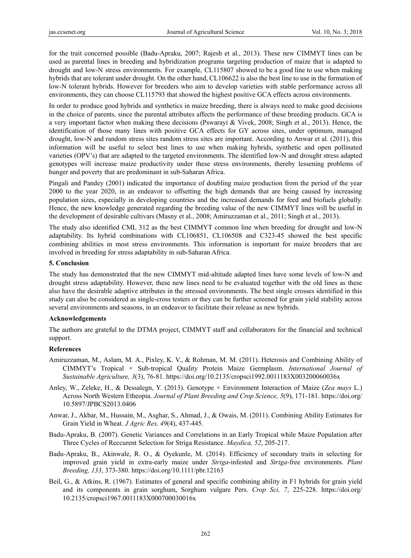for the trait concerned possible (Badu-Apraku, 2007; Rajesh et al., 2013). These new CIMMYT lines can be used as parental lines in breeding and hybridization programs targeting production of maize that is adapted to drought and low-N stress environments. For example, CL115807 showed to be a good line to use when making hybrids that are tolerant under drought. On the other hand, CL106622 is also the best line to use in the formation of low-N tolerant hybrids. However for breeders who aim to develop varieties with stable performance across all environments, they can choose CL115793 that showed the highest positive GCA effects across environments.

In order to produce good hybrids and synthetics in maize breeding, there is always need to make good decisions in the choice of parents, since the parental attributes affects the performance of these breeding products. GCA is a very important factor when making these decisions (Pswarayi & Vivek, 2008; Singh et al., 2013). Hence, the identification of those many lines with positive GCA effects for GY across sites, under optimum, managed drought, low-N and random stress sites random stress sites are important. According to Anwar et al. (2011), this information will be useful to select best lines to use when making hybrids, synthetic and open pollinated varieties (OPV's) that are adapted to the targeted environments. The identified low-N and drought stress adapted genotypes will increase maize productivity under these stress environments, thereby lessening problems of hunger and poverty that are predominant in sub-Saharan Africa.

Pingali and Pandey (2001) indicated the importance of doubling maize production from the period of the year 2000 to the year 2020, in an endeavor to offsetting the high demands that are being caused by increasing population sizes, especially in developing countries and the increased demands for feed and biofuels globally. Hence, the new knowledge generated regarding the breeding value of the new CIMMYT lines will be useful in the development of desirable cultivars (Masny et al., 2008; Amiruzzaman et al., 2011; Singh et al., 2013).

The study also identified CML 312 as the best CIMMYT common line when breeding for drought and low-N adaptability. Its hybrid combinations with CL106851, CL106508 and C323-45 showed the best specific combining abilities in most stress environments. This information is important for maize breeders that are involved in breeding for stress adaptability in sub-Saharan Africa.

## **5. Conclusion**

The study has demonstrated that the new CIMMYT mid-altitude adapted lines have some levels of low-N and drought stress adaptability. However, these new lines need to be evaluated together with the old lines as these also have the desirable adaptive attributes in the stressed environments. The best single crosses identified in this study can also be considered as single-cross testers or they can be further screened for grain yield stability across several environments and seasons, in an endeavor to facilitate their release as new hybrids.

# **Acknowledgements**

The authors are grateful to the DTMA project, CIMMYT staff and collaborators for the financial and technical support.

# **References**

- Amiruzzaman, M., Aslam, M. A., Pixley, K. V., & Rohman, M. M. (2011). Heterosis and Combining Ability of CIMMYT's Tropical × Sub-tropical Quality Protein Maize Germplasm. *International Journal of Sustainable Agriculture, 3*(3), 76-81. https://doi.org/10.2135/cropsci1992.0011183X003200060036x
- Anley, W., Zeleke, H., & Dessalegn, Y. (2013). Genotype × Environment Interaction of Maize (*Zea mays* L.) Across North Western Etheopia. *Journal of Plant Breeding and Crop Science, 5*(9), 171-181. https://doi.org/ 10.5897/JPBCS2013.0406
- Anwar, J., Akbar, M., Hussain, M., Asghar, S., Ahmad, J., & Owais, M. (2011). Combining Ability Estimates for Grain Yield in Wheat. *J Agric Res, 49*(4), 437-445.
- Badu-Apraku, B. (2007). Genetic Variances and Correlations in an Early Tropical while Maize Population after Three Cycles of Reccurent Selection for Striga Resistance. *Maydica, 52*, 205-217.
- Badu-Apraku, B., Akinwale, R. O., & Oyekunle, M. (2014). Efficiency of secondary traits in selecting for improved grain yield in extra-early maize under *Striga*-infested and *Striga*-free environments. *Plant Breeding, 133*, 373-380. https://doi.org/10.1111/pbr.12163
- Beil, G., & Atkins, R. (1967). Estimates of general and specific combining ability in F1 hybrids for grain yield and its components in grain sorghum, Sorghum vulgare Pers. *Crop Sci, 7*, 225-228. https://doi.org/ 10.2135/cropsci1967.0011183X000700030016x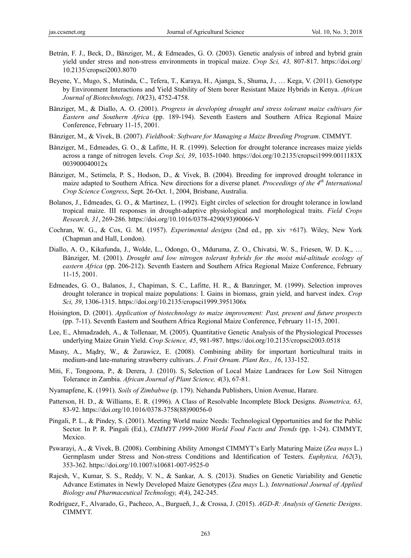- Betrán, F. J., Beck, D., Bänziger, M., & Edmeades, G. O. (2003). Genetic analysis of inbred and hybrid grain yield under stress and non-stress environments in tropical maize. *Crop Sci, 43,* 807-817. https://doi.org/ 10.2135/cropsci2003.8070
- Beyene, Y., Mugo, S., Mutinda, C., Tefera, T., Karaya, H., Ajanga, S., Shuma, J., … Kega, V. (2011). Genotype by Environment Interactions and Yield Stability of Stem borer Resistant Maize Hybrids in Kenya. *African Journal of Biotechnology, 10*(23), 4752-4758.
- Bӓnziger, M., & Diallo, A. O. (2001). *Progress in developing drought and stress tolerant maize cultivars for Eastern and Southern Africa* (pp. 189-194). Seventh Eastern and Southern Africa Regional Maize Conference, February 11-15, 2001.
- Bӓnziger, M., & Vivek, B. (2007). *Fieldbook: Software for Managing a Maize Breeding Program*. CIMMYT.
- Bӓnziger, M., Edmeades, G. O., & Lafitte, H. R. (1999). Selection for drought tolerance increases maize yields across a range of nitrogen levels. *Crop Sci, 39*, 1035-1040. https://doi.org/10.2135/cropsci1999.0011183X 003900040012x
- Bänziger, M., Setimela, P. S., Hodson, D., & Vivek, B. (2004). Breeding for improved drought tolerance in maize adapted to Southern Africa. New directions for a diverse planet. *Proceedings of the 4th International Crop Science Congress*, Sept. 26-Oct. 1, 2004, Brisbane, Australia.
- Bolanos, J., Edmeades, G. O., & Martinez, L. (1992). Eight circles of selection for drought tolerance in lowland tropical maize. III responses in drought-adaptive physiological and morphological traits. *Field Crops Research, 31*, 269-286. https://doi.org/10.1016/0378-4290(93)90066-V
- Cochran, W. G., & Cox, G. M. (1957). *Experimental designs* (2nd ed., pp. xiv +617). Wiley, New York (Chapman and Hall, London).
- Diallo, A. O., Kikafunda, J., Wolde, L., Odongo, O., Mduruma, Z. O., Chivatsi, W. S., Friesen, W. D. K., … Bӓnziger, M. (2001). *Drought and low nitrogen tolerant hybrids for the moist mid-altitude ecology of eastern Africa* (pp. 206-212). Seventh Eastern and Southern Africa Regional Maize Conference, February 11-15, 2001.
- Edmeades, G. O., Balanos, J., Chapiman, S. C., Lafitte, H. R., & Banzinger, M. (1999). Selection improves drought tolerance in tropical maize populations: I. Gains in biomass, grain yield, and harvest index. *Crop Sci, 39*, 1306-1315. https://doi.org/10.2135/cropsci1999.3951306x
- Hoisington, D. (2001). *Application of biotechnology to maize improvement: Past, present and future prospects*  (pp. 7-11). Seventh Eastern and Southern Africa Regional Maize Conference, February 11-15, 2001.
- Lee, E., Ahmadzadeh, A., & Tollenaar, M. (2005). Quantitative Genetic Analysis of the Physiological Processes underlying Maize Grain Yield. *Crop Science, 45*, 981-987. https://doi.org/10.2135/cropsci2003.0518
- Masny, A., Mądry, W., & Żurawicz, E. (2008). Combining ability for important horticultural traits in medium-and late-maturing strawberry cultivars. *J. Fruit Ornam. Plant Res., 16*, 133-152.
- Miti, F., Tongoona, P., & Derera, J. (2010). S<sub>1</sub> Selection of Local Maize Landraces for Low Soil Nitrogen Tolerance in Zambia. *African Journal of Plant Science, 4*(3), 67-81.
- Nyamapfene, K. (1991). *Soils of Zimbabwe* (p. 179). Nehanda Publishers, Union Avenue, Harare.
- Patterson, H. D., & Williams, E. R. (1996). A Class of Resolvable Incomplete Block Designs. *Biometrica, 63*, 83-92. https://doi.org/10.1016/0378-3758(88)90056-0
- Pingali, P. L., & Pindey, S. (2001). Meeting World maize Needs: Technological Opportunities and for the Public Sector. In P. R. Pingali (Ed.), *CIMMYT 1999-2000 World Food Facts and Trends* (pp. 1-24). CIMMYT, Mexico.
- Pswarayi, A., & Vivek, B. (2008). Combining Ability Amongst CIMMYT's Early Maturing Maize (*Zea mays* L.) Germplasm under Stress and Non-stress Conditions and Identification of Testers. *Euphytica, 162*(3), 353-362. https://doi.org/10.1007/s10681-007-9525-0
- Rajesh, V., Kumar, S. S., Reddy, V. N., & Sankar, A. S. (2013). Studies on Genetic Variability and Genetic Advance Estimates in Newly Developed Maize Genotypes (*Zea mays* L.). *International Journal of Applied Biology and Pharmaceutical Technology, 4*(4), 242-245.
- Rodríguez, F., Alvarado, G., Pacheco, A., Burgueñ, J., & Crossa, J. (2015). *AGD-R: Analysis of Genetic Designs*. CIMMYT.